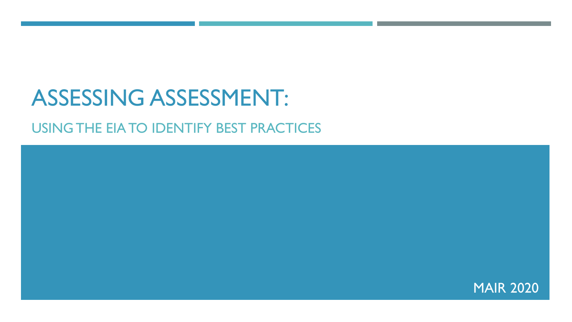## ASSESSING ASSESSMENT:

#### USING THE EIA TO IDENTIFY BEST PRACTICES

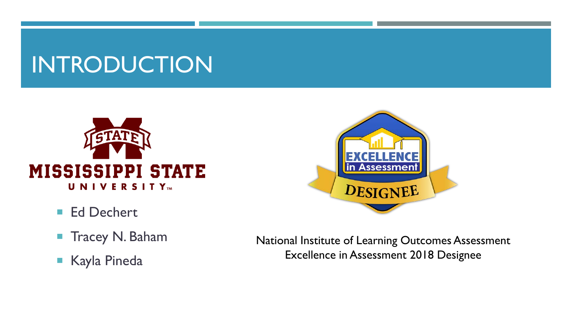## INTRODUCTION



- Ed Dechert
- **Tracey N. Baham**
- Kayla Pineda



National Institute of Learning Outcomes Assessment Excellence in Assessment 2018 Designee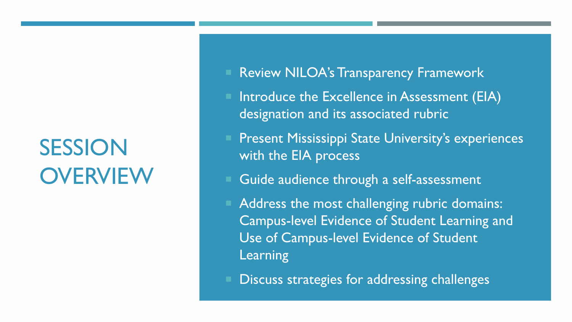## SESSION **OVERVIEW**

- Review NILOA's Transparency Framework
- Introduce the Excellence in Assessment (EIA) designation and its associated rubric
- Present Mississippi State University's experiences with the EIA process
- Guide audience through a self-assessment
- Address the most challenging rubric domains: Campus-level Evidence of Student Learning and Use of Campus-level Evidence of Student Learning
- Discuss strategies for addressing challenges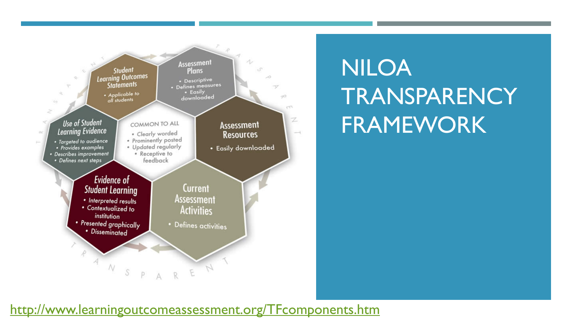

## NILOA **TRANSPARENCY** FRAMEWORK

#### <http://www.learningoutcomeassessment.org/TFcomponents.htm>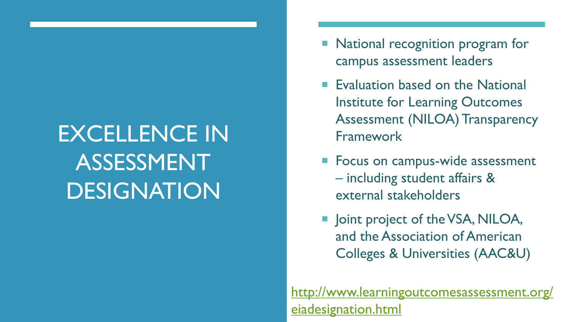## EXCELLENCE IN ASSESSMENT DESIGNATION

- National recognition program for campus assessment leaders
- **Evaluation based on the National** Institute for Learning Outcomes Assessment (NILOA) Transparency Framework
- **Focus on campus-wide assessment** – including student affairs & external stakeholders
- **Joint project of the VSA, NILOA,** and the Association of American Colleges & Universities (AAC&U)

[http://www.learningoutcomesassessment.org/](http://www.learningoutcomesassessment.org/eiadesignation.html) eiadesignation.html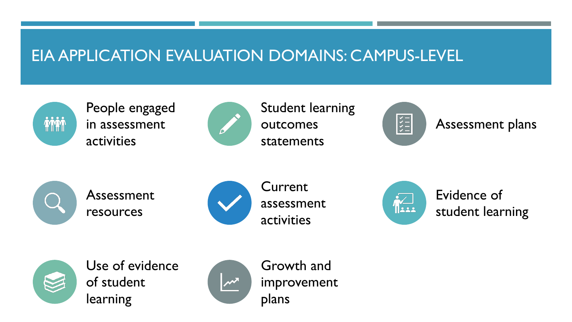#### EIA APPLICATION EVALUATION DOMAINS: CAMPUS-LEVEL



People engaged in assessment activities



Student learning outcomes statements



Assessment plans



Assessment resources



Current assessment activities



Evidence of student learning



Use of evidence of student learning



Growth and improvement plans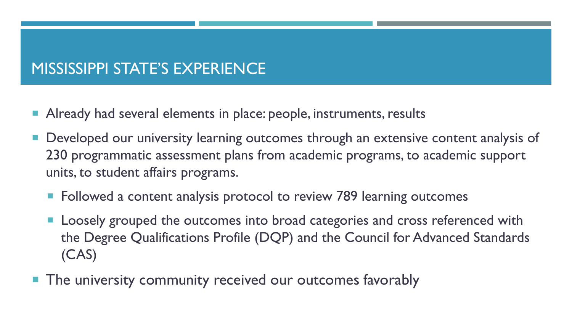#### MISSISSIPPI STATE'S EXPERIENCE

- **Already had several elements in place: people, instruments, results**
- Developed our university learning outcomes through an extensive content analysis of 230 programmatic assessment plans from academic programs, to academic support units, to student affairs programs.
	- **Followed a content analysis protocol to review 789 learning outcomes**
	- **Loosely grouped the outcomes into broad categories and cross referenced with** the Degree Qualifications Profile (DQP) and the Council for Advanced Standards (CAS)
- **The university community received our outcomes favorably**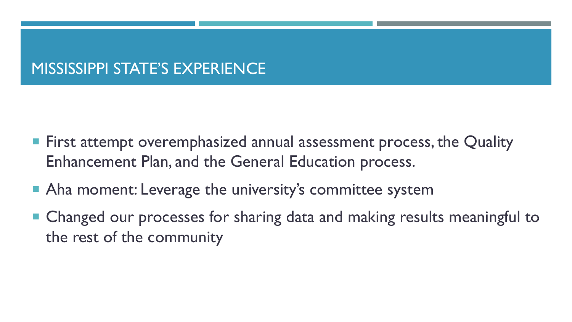#### MISSISSIPPI STATE'S EXPERIENCE

- **First attempt overemphasized annual assessment process, the Quality** Enhancement Plan, and the General Education process.
- Aha moment: Leverage the university's committee system
- Changed our processes for sharing data and making results meaningful to the rest of the community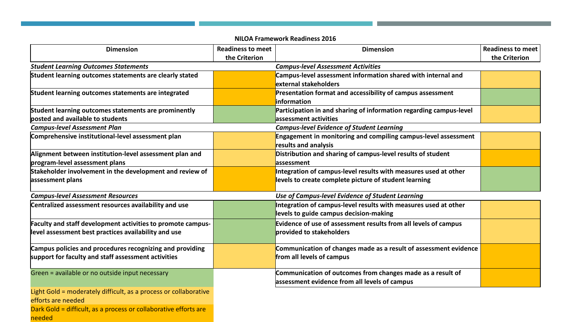| <b>Dimension</b>                                                                                                    | <b>Readiness to meet</b> | <b>Dimension</b>                                                                            | <b>Readiness to meet</b> |
|---------------------------------------------------------------------------------------------------------------------|--------------------------|---------------------------------------------------------------------------------------------|--------------------------|
|                                                                                                                     | the Criterion            |                                                                                             | the Criterion            |
| <b>Student Learning Outcomes Statements</b>                                                                         |                          | <b>Campus-level Assessment Activities</b>                                                   |                          |
| Student learning outcomes statements are clearly stated                                                             |                          | Campus-level assessment information shared with internal and                                |                          |
|                                                                                                                     |                          | lexternal stakeholders                                                                      |                          |
| Student learning outcomes statements are integrated                                                                 |                          | Presentation format and accessibility of campus assessment                                  |                          |
|                                                                                                                     |                          | linformation                                                                                |                          |
| Student learning outcomes statements are prominently                                                                |                          | Participation in and sharing of information regarding campus-level                          |                          |
| posted and available to students                                                                                    |                          | assessment activities                                                                       |                          |
| <b>Campus-level Assessment Plan</b>                                                                                 |                          | <b>Campus-level Evidence of Student Learning</b>                                            |                          |
| Comprehensive institutional-level assessment plan                                                                   |                          | Engagement in monitoring and compiling campus-level assessment                              |                          |
|                                                                                                                     |                          | results and analysis                                                                        |                          |
| Alignment between institution-level assessment plan and                                                             |                          | Distribution and sharing of campus-level results of student                                 |                          |
| program-level assessment plans                                                                                      |                          | lassessment                                                                                 |                          |
| Stakeholder involvement in the development and review of                                                            |                          | Integration of campus-level results with measures used at other                             |                          |
| assessment plans                                                                                                    |                          | levels to create complete picture of student learning                                       |                          |
| <b>Campus-level Assessment Resources</b>                                                                            |                          | Use of Campus-level Evidence of Student Learning                                            |                          |
| Centralized assessment resources availability and use                                                               |                          | Integration of campus-level results with measures used at other                             |                          |
|                                                                                                                     |                          | levels to guide campus decision-making                                                      |                          |
|                                                                                                                     |                          |                                                                                             |                          |
| Faculty and staff development activities to promote campus-<br>level assessment best practices availability and use |                          | Evidence of use of assessment results from all levels of campus<br>provided to stakeholders |                          |
|                                                                                                                     |                          |                                                                                             |                          |
| Campus policies and procedures recognizing and providing                                                            |                          | Communication of changes made as a result of assessment evidence                            |                          |
| support for faculty and staff assessment activities                                                                 |                          | from all levels of campus                                                                   |                          |
|                                                                                                                     |                          |                                                                                             |                          |
| Green = available or no outside input necessary                                                                     |                          | Communication of outcomes from changes made as a result of                                  |                          |
|                                                                                                                     |                          | assessment evidence from all levels of campus                                               |                          |
| Light Gold = moderately difficult, as a process or collaborative                                                    |                          |                                                                                             |                          |
| efforts are needed                                                                                                  |                          |                                                                                             |                          |
| Dark Gold = difficult, as a process or collaborative efforts are                                                    |                          |                                                                                             |                          |
| needed                                                                                                              |                          |                                                                                             |                          |

**NILOA Framework Readiness 2016**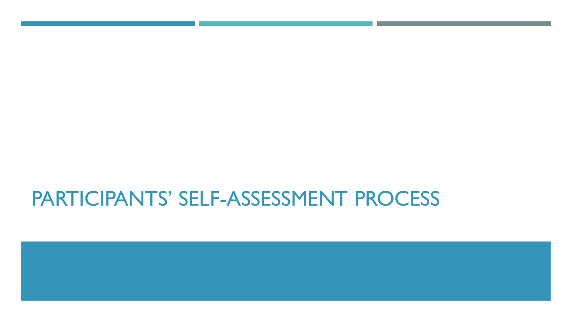## PARTICIPANTS' SELF-ASSESSMENT PROCESS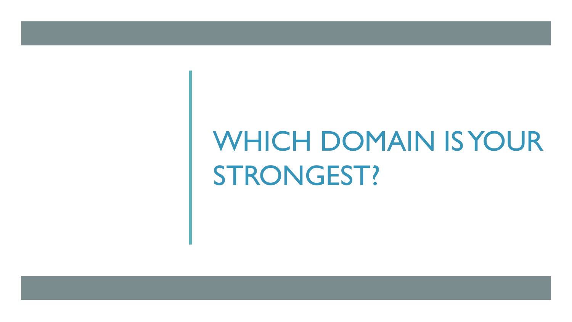# WHICH DOMAIN IS YOUR STRONGEST?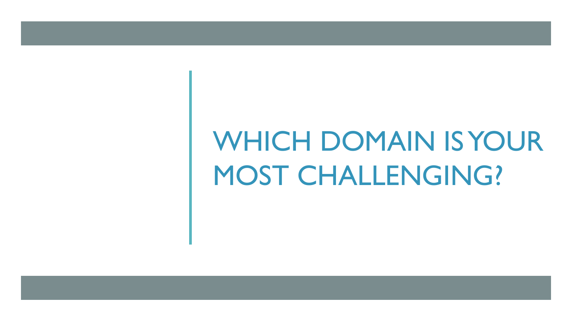# WHICH DOMAIN IS YOUR MOST CHALLENGING?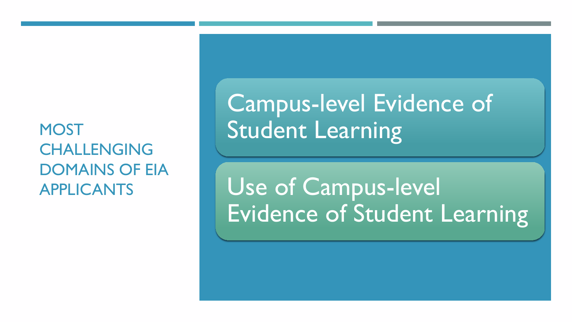**MOST** CHALLENGING DOMAINS OF EIA APPLICANTS

Campus-level Evidence of Student Learning

Use of Campus-level Evidence of Student Learning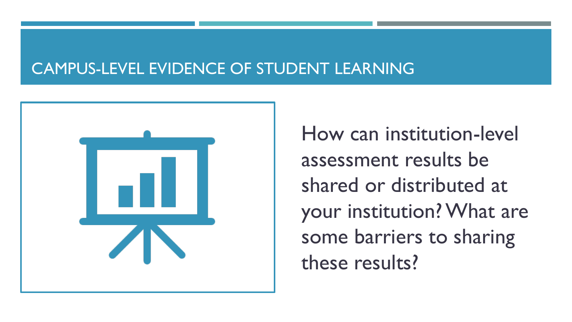#### CAMPUS-LEVEL EVIDENCE OF STUDENT LEARNING



How can institution-level assessment results be shared or distributed at your institution? What are some barriers to sharing these results?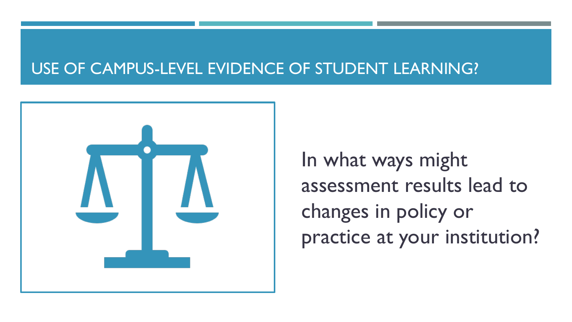#### USE OF CAMPUS-LEVEL EVIDENCE OF STUDENT LEARNING?



In what ways might assessment results lead to changes in policy or practice at your institution?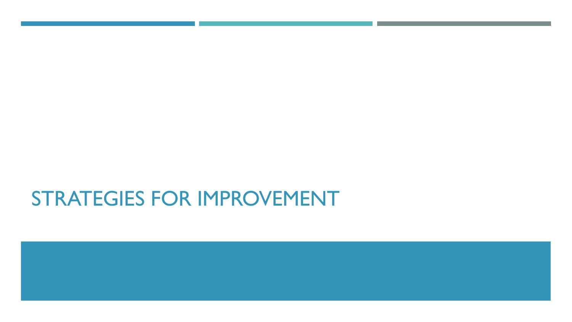### STRATEGIES FOR IMPROVEMENT

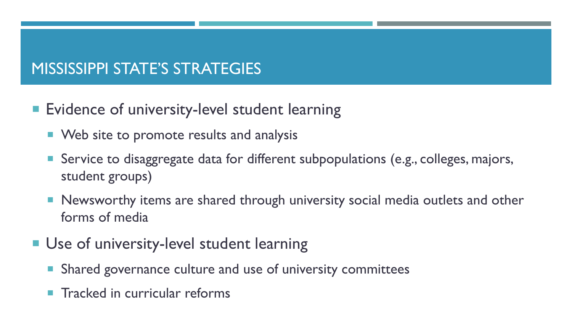### MISSISSIPPI STATE'S STRATEGIES

- **Exidence of university-level student learning** 
	- **Web site to promote results and analysis**
	- Service to disaggregate data for different subpopulations (e.g., colleges, majors, student groups)
	- **Newsworthy items are shared through university social media outlets and other** forms of media
- **Use of university-level student learning** 
	- Shared governance culture and use of university committees
	- Tracked in curricular reforms